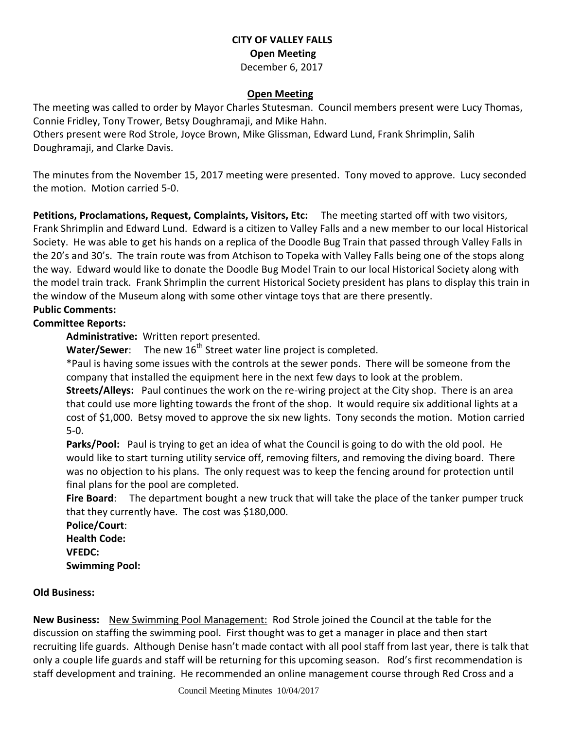### **CITY OF VALLEY FALLS Open Meeting** December 6, 2017

#### **Open Meeting**

The meeting was called to order by Mayor Charles Stutesman. Council members present were Lucy Thomas, Connie Fridley, Tony Trower, Betsy Doughramaji, and Mike Hahn.

Others present were Rod Strole, Joyce Brown, Mike Glissman, Edward Lund, Frank Shrimplin, Salih Doughramaji, and Clarke Davis.

The minutes from the November 15, 2017 meeting were presented. Tony moved to approve. Lucy seconded the motion. Motion carried 5-0.

**Petitions, Proclamations, Request, Complaints, Visitors, Etc:** The meeting started off with two visitors, Frank Shrimplin and Edward Lund. Edward is a citizen to Valley Falls and a new member to our local Historical Society. He was able to get his hands on a replica of the Doodle Bug Train that passed through Valley Falls in the 20's and 30's. The train route was from Atchison to Topeka with Valley Falls being one of the stops along the way. Edward would like to donate the Doodle Bug Model Train to our local Historical Society along with the model train track. Frank Shrimplin the current Historical Society president has plans to display this train in the window of the Museum along with some other vintage toys that are there presently.

## **Public Comments:**

#### **Committee Reports:**

**Administrative:** Written report presented.

**Water/Sewer:** The new 16<sup>th</sup> Street water line project is completed.

\*Paul is having some issues with the controls at the sewer ponds. There will be someone from the company that installed the equipment here in the next few days to look at the problem.

**Streets/Alleys:** Paul continues the work on the re-wiring project at the City shop. There is an area that could use more lighting towards the front of the shop. It would require six additional lights at a cost of \$1,000. Betsy moved to approve the six new lights. Tony seconds the motion. Motion carried 5-0.

**Parks/Pool:** Paul is trying to get an idea of what the Council is going to do with the old pool. He would like to start turning utility service off, removing filters, and removing the diving board. There was no objection to his plans. The only request was to keep the fencing around for protection until final plans for the pool are completed.

**Fire Board**: The department bought a new truck that will take the place of the tanker pumper truck that they currently have. The cost was \$180,000.

**Police/Court**: **Health Code: VFEDC: Swimming Pool:** 

#### **Old Business:**

**New Business:** New Swimming Pool Management: Rod Strole joined the Council at the table for the discussion on staffing the swimming pool. First thought was to get a manager in place and then start recruiting life guards. Although Denise hasn't made contact with all pool staff from last year, there is talk that only a couple life guards and staff will be returning for this upcoming season. Rod's first recommendation is staff development and training. He recommended an online management course through Red Cross and a